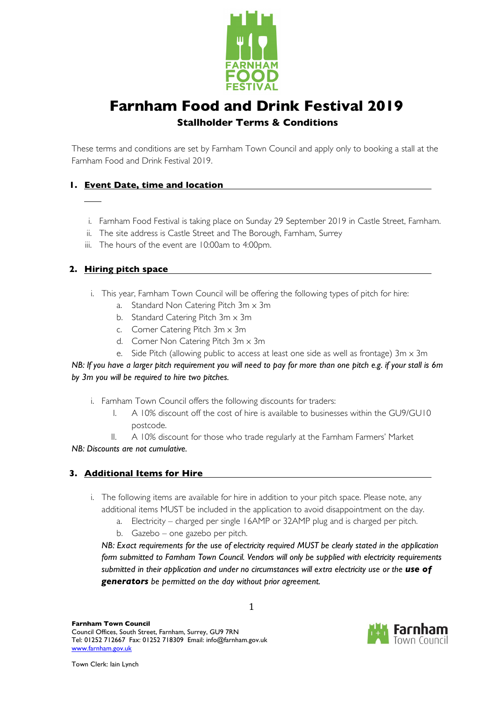

# **Farnham Food and Drink Festival 2019 Stallholder Terms & Conditions**

These terms and conditions are set by Farnham Town Council and apply only to booking a stall at the Farnham Food and Drink Festival 2019.

# **1. Event Date, time and location**

- i. Farnham Food Festival is taking place on Sunday 29 September 2019 in Castle Street, Farnham.
- ii. The site address is Castle Street and The Borough, Farnham, Surrey
- iii. The hours of the event are 10:00am to 4:00pm.

## **2. Hiring pitch space**

- i. This year, Farnham Town Council will be offering the following types of pitch for hire:
	- a. Standard Non Catering Pitch 3m x 3m
	- b. Standard Catering Pitch 3m x 3m
	- c. Corner Catering Pitch 3m x 3m
	- d. Corner Non Catering Pitch 3m x 3m
	- e. Side Pitch (allowing public to access at least one side as well as frontage)  $3m \times 3m$

*NB: If you have a larger pitch requirement you will need to pay for more than one pitch e.g. if your stall is 6m by 3m you will be required to hire two pitches.*

- i. Farnham Town Council offers the following discounts for traders:
	- I. A 10% discount off the cost of hire is available to businesses within the GU9/GU10 postcode.
	- II. A 10% discount for those who trade regularly at the Farnham Farmers' Market

#### *NB: Discounts are not cumulative.*

## **3. Additional Items for Hire**

i. The following items are available for hire in addition to your pitch space. Please note, any additional items MUST be included in the application to avoid disappointment on the day.

1

- a. Electricity charged per single 16AMP or 32AMP plug and is charged per pitch.
- b. Gazebo one gazebo per pitch.

*NB: Exact requirements for the use of electricity required MUST be clearly stated in the application form submitted to Farnham Town Council. Vendors will only be supplied with electricity requirements submitted in their application and under no circumstances will extra electricity use or the use of generators be permitted on the day without prior agreement.*

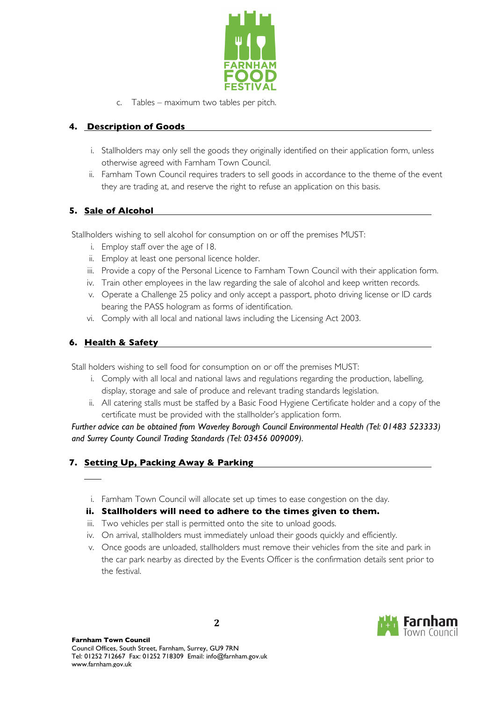

c. Tables – maximum two tables per pitch.

# **4. Description of Goods**

- i. Stallholders may only sell the goods they originally identified on their application form, unless otherwise agreed with Farnham Town Council.
- ii. Farnham Town Council requires traders to sell goods in accordance to the theme of the event they are trading at, and reserve the right to refuse an application on this basis.

# **5. Sale of Alcohol**

Stallholders wishing to sell alcohol for consumption on or off the premises MUST:

- i. Employ staff over the age of 18.
- ii. Employ at least one personal licence holder.
- iii. Provide a copy of the Personal Licence to Farnham Town Council with their application form.
- iv. Train other employees in the law regarding the sale of alcohol and keep written records.
- v. Operate a Challenge 25 policy and only accept a passport, photo driving license or ID cards bearing the PASS hologram as forms of identification.
- vi. Comply with all local and national laws including the Licensing Act 2003.

# **6. Health & Safety**

Stall holders wishing to sell food for consumption on or off the premises MUST:

- i. Comply with all local and national laws and regulations regarding the production, labelling, display, storage and sale of produce and relevant trading standards legislation.
- ii. All catering stalls must be staffed by a Basic Food Hygiene Certificate holder and a copy of the certificate must be provided with the stallholder's application form.

*Further advice can be obtained from Waverley Borough Council Environmental Health (Tel: 01483 523333) and Surrey County Council Trading Standards (Tel: 03456 009009).*

## **7. Setting Up, Packing Away & Parking**

i. Farnham Town Council will allocate set up times to ease congestion on the day.

#### **ii. Stallholders will need to adhere to the times given to them.**

- iii. Two vehicles per stall is permitted onto the site to unload goods.
- iv. On arrival, stallholders must immediately unload their goods quickly and efficiently.
- v. Once goods are unloaded, stallholders must remove their vehicles from the site and park in the car park nearby as directed by the Events Officer is the confirmation details sent prior to the festival.

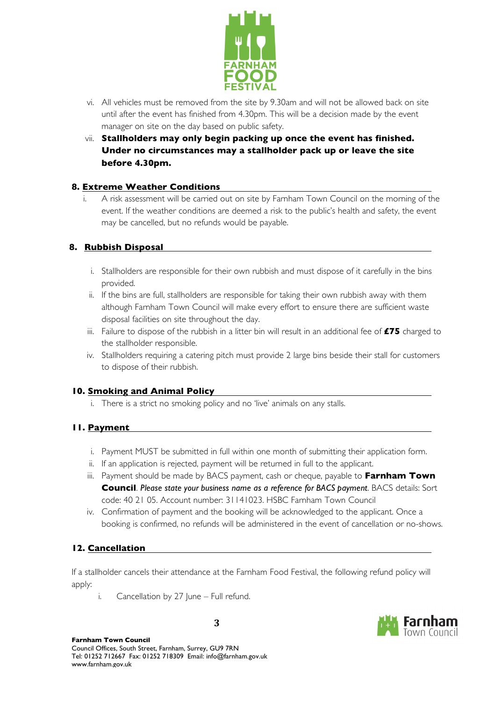

- vi. All vehicles must be removed from the site by 9.30am and will not be allowed back on site until after the event has finished from 4.30pm. This will be a decision made by the event manager on site on the day based on public safety.
- vii. **Stallholders may only begin packing up once the event has finished. Under no circumstances may a stallholder pack up or leave the site before 4.30pm.**

# **8. Extreme Weather Conditions**

i. A risk assessment will be carried out on site by Farnham Town Council on the morning of the event. If the weather conditions are deemed a risk to the public's health and safety, the event may be cancelled, but no refunds would be payable.

# **8. Rubbish Disposal**

- i. Stallholders are responsible for their own rubbish and must dispose of it carefully in the bins provided.
- ii. If the bins are full, stallholders are responsible for taking their own rubbish away with them although Farnham Town Council will make every effort to ensure there are sufficient waste disposal facilities on site throughout the day.
- iii. Failure to dispose of the rubbish in a litter bin will result in an additional fee of **£75** charged to the stallholder responsible.
- iv. Stallholders requiring a catering pitch must provide 2 large bins beside their stall for customers to dispose of their rubbish.

## **10. Smoking and Animal Policy**

i. There is a strict no smoking policy and no 'live' animals on any stalls.

# **11. Payment**

- i. Payment MUST be submitted in full within one month of submitting their application form.
- ii. If an application is rejected, payment will be returned in full to the applicant.
- iii. Payment should be made by BACS payment, cash or cheque, payable to **Farnham Town Council**. *Please state your business name as a reference for BACS payment*. BACS details: Sort code: 40 21 05. Account number: 31141023. HSBC Farnham Town Council
- iv. Confirmation of payment and the booking will be acknowledged to the applicant. Once a booking is confirmed, no refunds will be administered in the event of cancellation or no-shows.

## **12. Cancellation**

If a stallholder cancels their attendance at the Farnham Food Festival, the following refund policy will apply:

**3**

i. Cancellation by  $27$  June – Full refund.